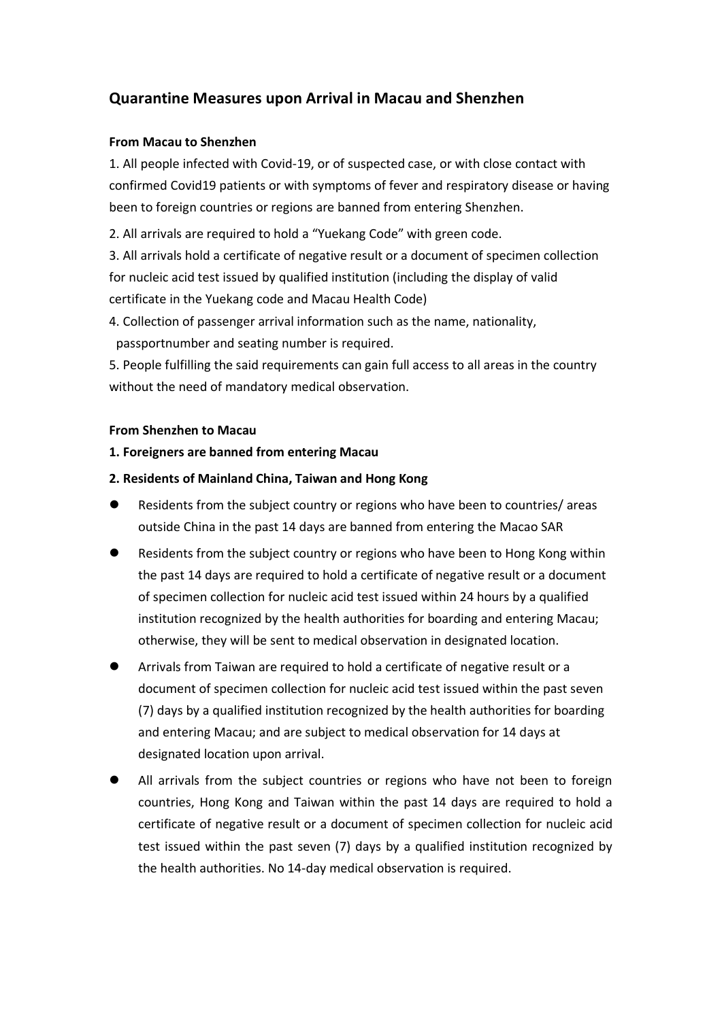# **Quarantine Measures upon Arrival in Macau and Shenzhen**

## **From Macau to Shenzhen**

1. All people infected with Covid-19, or of suspected case, or with close contact with confirmed Covid19 patients or with symptoms of fever and respiratory disease or having been to foreign countries or regions are banned from entering Shenzhen.

2. All arrivals are required to hold a "Yuekang Code" with green code.

3. All arrivals hold a certificate of negative result or a document of specimen collection for nucleic acid test issued by qualified institution (including the display of valid certificate in the Yuekang code and Macau Health Code)

4. Collection of passenger arrival information such as the name, nationality, passportnumber and seating number is required.

5. People fulfilling the said requirements can gain full access to all areas in the country without the need of mandatory medical observation.

#### **From Shenzhen to Macau**

## **1. Foreigners are banned from entering Macau**

## **2. Residents of Mainland China, Taiwan and Hong Kong**

- Residents from the subject country or regions who have been to countries/ areas outside China in the past 14 days are banned from entering the Macao SAR
- Residents from the subject country or regions who have been to Hong Kong within the past 14 days are required to hold a certificate of negative result or a document of specimen collection for nucleic acid test issued within 24 hours by a qualified institution recognized by the health authorities for boarding and entering Macau; otherwise, they will be sent to medical observation in designated location.
- Arrivals from Taiwan are required to hold a certificate of negative result or a document of specimen collection for nucleic acid test issued within the past seven (7) days by a qualified institution recognized by the health authorities for boarding and entering Macau; and are subject to medical observation for 14 days at designated location upon arrival.
- All arrivals from the subject countries or regions who have not been to foreign countries, Hong Kong and Taiwan within the past 14 days are required to hold a certificate of negative result or a document of specimen collection for nucleic acid test issued within the past seven (7) days by a qualified institution recognized by the health authorities. No 14-day medical observation is required.